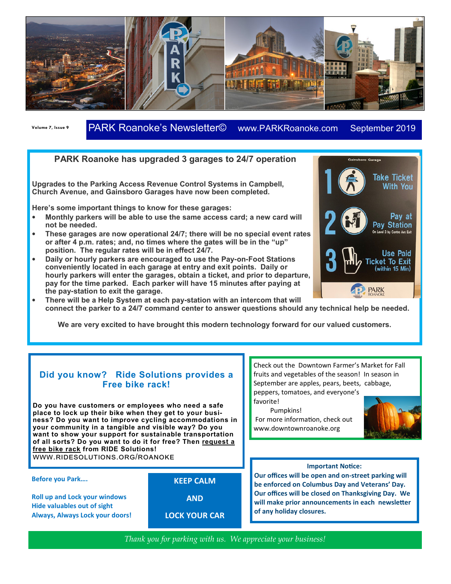

**Volume 7, Issue 9** PARK Roanoke's Newsletter© www.PARKRoanoke.com September 2019 **Newsletter Date** 

## **PARK Roanoke has upgraded 3 garages to 24/7 operation**

**Upgrades to the Parking Access Revenue Control Systems in Campbell, Church Avenue, and Gainsboro Garages have now been completed.** 

**Here's some important things to know for these garages:**

- **Monthly parkers will be able to use the same access card; a new card will not be needed.**
- **These garages are now operational 24/7; there will be no special event rates or after 4 p.m. rates; and, no times where the gates will be in the "up" position. The regular rates will be in effect 24/7.**
- **Daily or hourly parkers are encouraged to use the Pay-on-Foot Stations conveniently located in each garage at entry and exit points. Daily or hourly parkers will enter the garages, obtain a ticket, and prior to departure, pay for the time parked. Each parker will have 15 minutes after paying at the pay-station to exit the garage.**



**Gainsboro Garage** 

• **There will be a Help System at each pay-station with an intercom that will connect the parker to a 24/7 command center to answer questions should any technical help be needed.** 

**We are very excited to have brought this modern technology forward for our valued customers.**

## **Did you know? Ride Solutions provides a Free bike rack!**

**Do you have customers or employees who need a safe place to lock up their bike when they get to your business? Do you want to improve cycling accommodations in your community in a tangible and visible way? Do you want to show your support for sustainable transportation of all sorts? Do you want to do it for free? Then request a free bike rack from RIDE Solutions!**  WWW.RIDESOLUTIONS.ORG/ROANOKE

## **Before you Park….**

**Roll up and Lock your windows Hide valuables out of sight Always, Always Lock your doors!**  **KEEP CALM** 

**AND** 

**LOCK YOUR CAR** 

Check out the Downtown Farmer's Market for Fall fruits and vegetables of the season! In season in September are apples, pears, beets, cabbage, peppers, tomatoes, and everyone's favorite!

Pumpkins!

For more information, check out www.downtownroanoke.org



**Our offices will be open and on-street parking will be enforced on Columbus Day and Veterans' Day. Our offices will be closed on Thanksgiving Day. We**  will make prior announcements in each newsletter **of any holiday closures.** 

*Thank you for parking with us. We appreciate your business!*